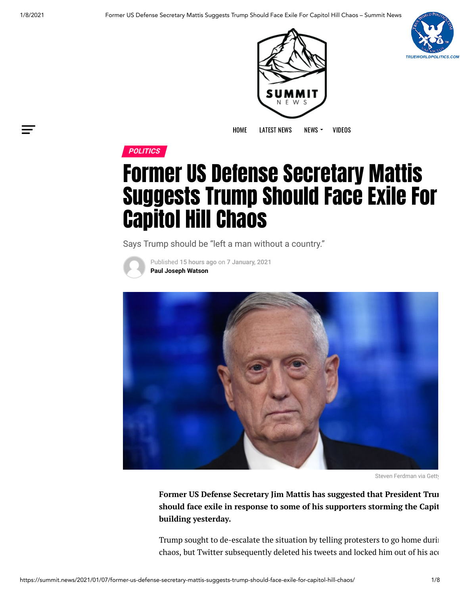





[HOME](https://summit.news/) [LATEST](https://summit.news/latest-news/) [NEWS](https://summit.news/news/) NEWS > [VIDEOS](https://banned.video/channel/5d7a86b1f30956001545dd71)



## Former US Defense Secretary Mattis Suggests Trump Should Face Exile For Capitol Hill Chaos

Says Trump should be "left a man without a country."



Published 15 hours ago on 7 January, 2021 **[Paul Joseph Watson](https://summit.news/author/pjw/)**



Steven Ferdman via Getty

**Former US Defense Secretary Jim Mattis has suggested that President Trum should face exile in response to some of his supporters storming the Capit building yesterday.**

Trump sought to de-escalate the situation by telling protesters to go home durin chaos, but Twitter subsequently deleted his tweets and locked him out of his aco